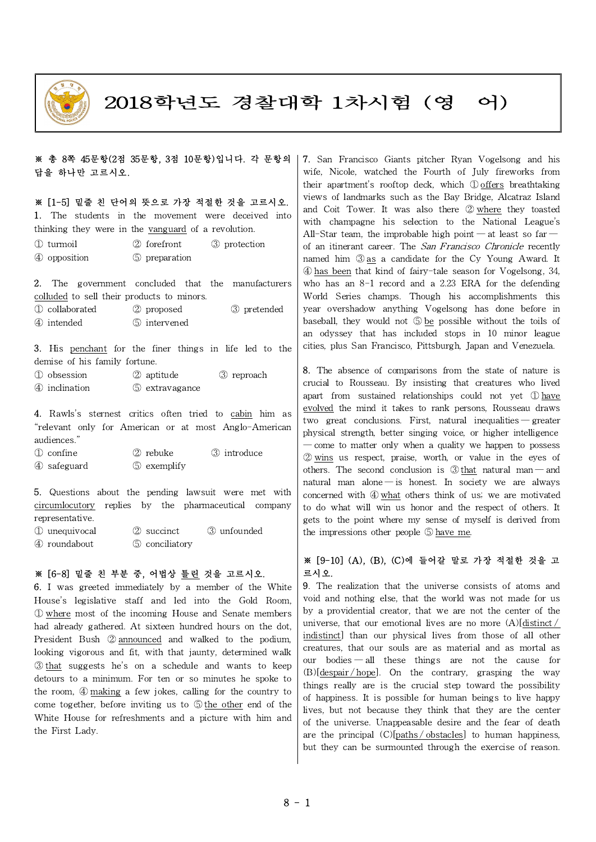

# 2018학년도 경찰대학 1차시험 (영 어)

#### ※ 총 8쪽 45문항(2점 35문항, 3점 10문항)입니다. 각 문항의 답을 하나만 고르시오.

※ [1-5] 밑줄 친 단어의 뜻으로 가장 적절한 것을 고르시오. 1. The students in the movement were deceived into thinking they were in the vanguard of a revolution. ① turmoil ② forefront ③ protection

④ opposition ⑤ preparation

2. The government concluded that the manufacturers colluded to sell their products to minors.

- ① collaborated ② proposed ③ pretended
- $\overline{4}$  intended  $\overline{5}$  intervened

**3.** His <u>penchant</u> for the finer things in life led to the  $\vert$  cities, plus San Francisco, Pittsburgh, Japan and Venezuela. demise of his family fortune.

| 1 obsession   | 2 aptitude     | 3 reproach |  |
|---------------|----------------|------------|--|
| 4 inclination | 5 extravagance |            |  |

4. Rawls's sternest critics often tried to cabin him as  $\frac{1}{2}$  evolved the mind it take "relevant only for American or at most Anglo-American audiences."

① confine ② rebuke ③ introduce

④ safeguard ⑤ exemplify

5. Questions about the pending lawsuit were met with circumlocutory replies by the pharmaceutical company audiences." representative.  $\overline{\phantom{a}}$  introduce  $\overline{\phantom{a}}$  introduce  $\overline{\phantom{a}}$  introduce  $\overline{\phantom{a}}$  at tax  $\overline{\phantom{a}}$  at tax  $\overline{\phantom{a}}$  at tax  $\overline{\phantom{a}}$  and  $\overline{\phantom{a}}$  at  $\overline{\phantom{a}}$  at  $\overline{\phantom{a}}$  and  $\overline{\phantom{a}}$  and  $\overline{\phantom{a}}$  at  $\overline{\$ 

| 1 unequivocal | (2) succinct   | (3) unfounded | the impressions other people $\circled{5}$ have me. |
|---------------|----------------|---------------|-----------------------------------------------------|
| 4 roundabout  | 5 conciliatory |               |                                                     |

# ※ [6-8] 밑줄 친 부분 중, 어법상 틀린 것을 고르시오.

6. I was greeted immediately by a member of the White House's legislative staff and led into the Gold Room, ① where most of the incoming House and Senate members had already gathered. At sixteen hundred hours on the dot, President Bush ② announced and walked to the podium, looking vigorous and fit, with that jaunty, determined walk ③ that suggests he's on a schedule and wants to keep detours to a minimum. For ten or so minutes he spoke to the room, ④ making a few jokes, calling for the country to come together, before inviting us to ⑤ the other end of the White House for refreshments and a picture with him and the First Lady.

7. San Francisco Giants pitcher Ryan Vogelsong and his wife, Nicole, watched the Fourth of July fireworks from their apartment's rooftop deck, which ① offers breathtaking views of landmarks such as the Bay Bridge, Alcatraz Island and Coit Tower. It was also there ② where they toasted with champagne his selection to the National League's All-Star team, the improbable high point — at least so far of an itinerant career. The San Francisco Chronicle recently named him ③ as a candidate for the Cy Young Award. It ④ has been that kind of fairy-tale season for Vogelsong, 34, who has an 8-1 record and a 2.23 ERA for the defending World Series champs. Though his accomplishments this year overshadow anything Vogelsong has done before in baseball, they would not ⑤ be possible without the toils of an odyssey that has included stops in 10 minor league cities, plus San Francisco, Pittsburgh, Japan and Venezuela.

 $\begin{array}{c|c|c|c|c|c|c} \hline \text{Q} & \text{output} & \text{Q} & \text{corrected} \\ \hline \text{Q} & \text{output} & \text{Q} & \text{corrected} & \text{Q} \\ \hline \end{array}$  becomparisons from the state of nature is crucial to Rousseau. By insisting that creatures who lived  $\Box$  The number concluded that the manufacturers concluded that the manufacturers concluded that the manufacturers concluded that the manufacturers concluded to minors. evolved the mind it takes to rank persons, Rousseau draws two great conclusions. First, natural inequalities ― greater physical strength, better singing voice, or higher intelligence ― come to matter only when a quality we happen to possess  $\Box$  contine  $\Box$  repuke  $\Box$  introduce  $\Box$  wins us respect, praise, worth, or value in the eyes of others. The second conclusion is  $\circled{3}$  that natural man — and  $\frac{1}{2}$  and the sternest critics of the critical manufactural manufacture of the society we are always concerned with ④ what others think of us; we are motivated to do what will win us honor and the respect of others. It gets to the point where my sense of myself is derived from the impressions other people ⑤ have me.

## │ ※ [9-10] (A), (B), (C)에 들어갈 말로 가장 적절한 것을 고 르시오.

9. The realization that the universe consists of atoms and void and nothing else, that the world was not made for us by a providential creator, that we are not the center of the universe, that our emotional lives are no more (A)[distinct / indistinct] than our physical lives from those of all other creatures, that our souls are as material and as mortal as our bodies — all these things are not the cause for  $(B)$ [despair / hope]. On the contrary, grasping the way things really are is the crucial step toward the possibility of happiness. It is possible for human beings to live happy lives, but not because they think that they are the center of the universe. Unappeasable desire and the fear of death are the principal (C)[paths / obstacles] to human happiness, but they can be surmounted through the exercise of reason.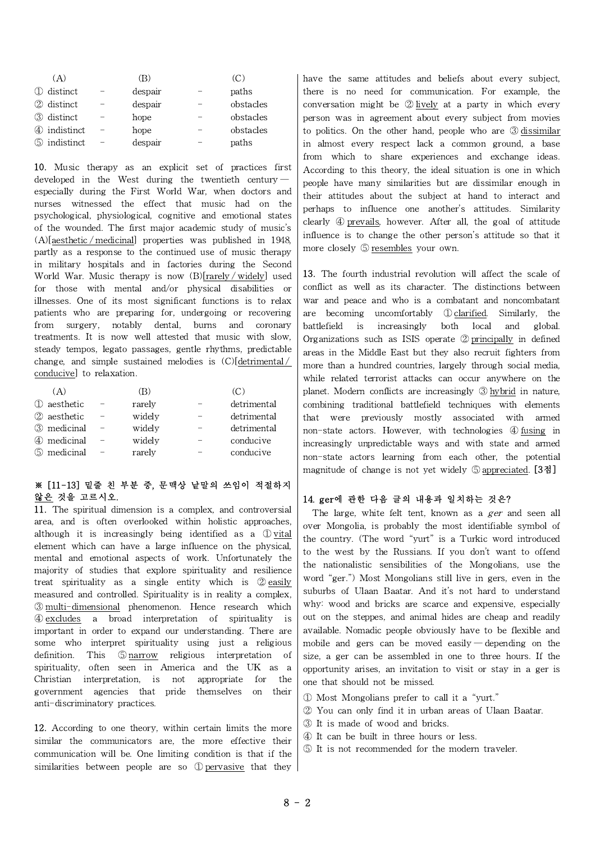| (A)          | (B)     | (C)       |  |
|--------------|---------|-----------|--|
| 1 distinct   | despair | paths     |  |
| 2 distinct   | despair | obstacles |  |
| 3 distinct   | hope    | obstacles |  |
| 4 indistinct | hope    | obstacles |  |
| 5 indistinct | despair | paths     |  |

10. Music therapy as an explicit set of practices first developed in the West during the twentieth century especially during the First World War, when doctors and nurses witnessed the effect that music had on the psychological, physiological, cognitive and emotional states of the wounded. The first major academic study of music's (A)[aesthetic / medicinal] properties was published in 1948, partly as a response to the continued use of music therapy in military hospitals and in factories during the Second World War. Music therapy is now (B)[rarely / widely] used for those with mental and/or physical disabilities or illnesses. One of its most significant functions is to relax patients who are preparing for, undergoing or recovering from surgery, notably dental, burns and coronary battlefield treatments. It is now well attested that music with slow, steady tempos, legato passages, gentle rhythms, predictable change, and simple sustained melodies is (C)[detrimental / conducive] to relaxation.

| (A)           |                          | (B)    | (C.         |  |
|---------------|--------------------------|--------|-------------|--|
| 1 aesthetic   | $\overline{\phantom{m}}$ | rarely | detrimental |  |
| 2 aesthetic   |                          | widely | detrimental |  |
| 3 medicinal   |                          | widely | detrimental |  |
| 4 medicinal   |                          | widely | conducive   |  |
| (5) medicinal |                          | rarely | conducive   |  |

## ※ [11-13] 밑줄 친 부분 중, 문맥상 낱말의 쓰임이 적절하지 않은 것을 고르시오.

11. The spiritual dimension is a complex, and controversial area, and is often overlooked within holistic approaches, although it is increasingly being identified as a ① vital element which can have a large influence on the physical, mental and emotional aspects of work. Unfortunately the majority of studies that explore spirituality and resilience treat spirituality as a single entity which is ② easily measured and controlled. Spirituality is in reality a complex, ③ multi-dimensional phenomenon. Hence research which ④ excludes a broad interpretation of spirituality is important in order to expand our understanding. There are some who interpret spirituality using just a religious definition. This ⑤ narrow religious interpretation of spirituality, often seen in America and the UK as a Christian interpretation, is not appropriate for the government agencies that pride themselves on their anti-discriminatory practices.

12. According to one theory, within certain limits the more similar the communicators are, the more effective their communication will be. One limiting condition is that if the similarities between people are so ① pervasive that they have the same attitudes and beliefs about every subject, there is no need for communication. For example, the conversation might be ② lively at a party in which every person was in agreement about every subject from movies to politics. On the other hand, people who are ③ dissimilar in almost every respect lack a common ground, a base from which to share experiences and exchange ideas. According to this theory, the ideal situation is one in which people have many similarities but are dissimilar enough in their attitudes about the subject at hand to interact and perhaps to influence one another's attitudes. Similarity clearly ④ prevails, however. After all, the goal of attitude influence is to change the other person's attitude so that it more closely ⑤ resembles your own.

13. The fourth industrial revolution will affect the scale of conflict as well as its character. The distinctions between war and peace and who is a combatant and noncombatant are becoming uncomfortably ① clarified. Similarly, the is increasingly both local and global. Organizations such as ISIS operate ② principally in defined areas in the Middle East but they also recruit fighters from more than a hundred countries, largely through social media, while related terrorist attacks can occur anywhere on the planet. Modern conflicts are increasingly ③ hybrid in nature, combining traditional battlefield techniques with elements that were previously mostly associated with armed non-state actors. However, with technologies  $\Phi$  fusing in increasingly unpredictable ways and with state and armed non-state actors learning from each other, the potential magnitude of change is not yet widely 5 appreciated. [3점]

# 14. ger에 관한 다음 글의 내용과 일치하는 것은?

The large, white felt tent, known as a ger and seen all over Mongolia, is probably the most identifiable symbol of the country. (The word "yurt" is a Turkic word introduced to the west by the Russians. If you don't want to offend the nationalistic sensibilities of the Mongolians, use the word "ger.") Most Mongolians still live in gers, even in the suburbs of Ulaan Baatar. And it's not hard to understand why: wood and bricks are scarce and expensive, especially out on the steppes, and animal hides are cheap and readily available. Nomadic people obviously have to be flexible and mobile and gers can be moved easily — depending on the size, a ger can be assembled in one to three hours. If the opportunity arises, an invitation to visit or stay in a ger is one that should not be missed.

- ① Most Mongolians prefer to call it a "yurt."
- ② You can only find it in urban areas of Ulaan Baatar.
- ③ It is made of wood and bricks.
- ④ It canbe built in three hours or less.
- ⑤ It is not recommended for the modern traveler.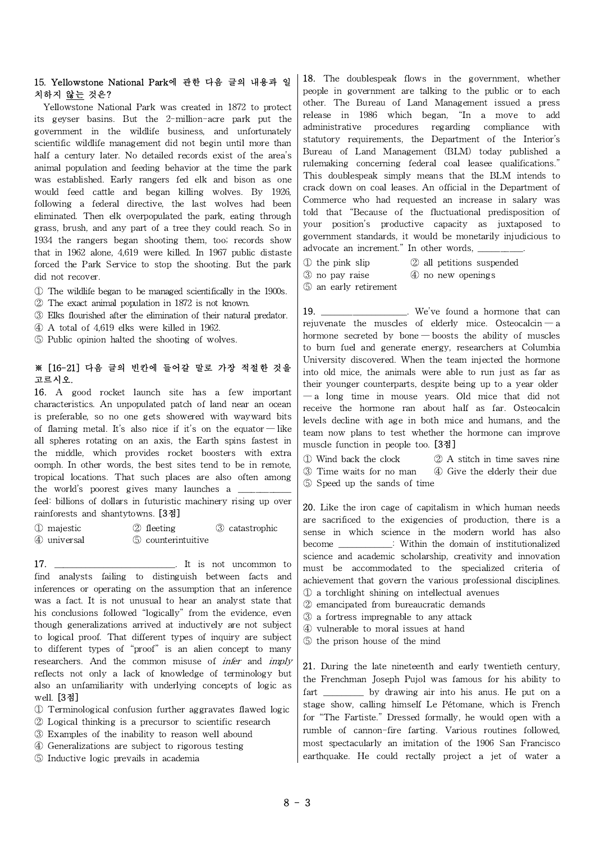#### 15. Yellowstone National Park에 관한 다음 글의 내용과 일 치하지 않는 것은?

Yellowstone National Park was created in 1872 to protect its geyser basins. But the 2-million-acre park put the government in the wildlife business, and unfortunately scientific wildlife management did not begin until more than half a century later. No detailed records exist of the area's animal population and feeding behavior at the time the park was established. Early rangers fed elk and bison as one would feed cattle and began killing wolves. By 1926, following a federal directive, the last wolves had been eliminated. Then elk overpopulated the park, eating through grass, brush, and any part of a tree they could reach. So in 1934 the rangers began shooting them, too; records show that in 1962 alone, 4,619 were killed. In 1967 public distaste forced the Park Service to stop the shooting. But the park  $\Box$  the pink slip did not recover.

- ① The wildlife began to be managed scientifically in the 1900s.
- ② The exact animal population in 1872 is not known.
- $\overline{)}$  Elks flourished after the elimination of their natural predator. 19.
- ④ A total of 4,619 elks were killed in 1962.
- ⑤ Public opinion halted the shooting of wolves.

#### ※ [16-21] 다음 글의 빈칸에 들어갈 말로 가장 적절한 것을 고르시오.

16. A good rocket launch site has a few important characteristics. An unpopulated patch of land near an ocean is preferable, so no one gets showered with wayward bits of flaming metal. It's also nice if it's on the equator — like all spheres rotating on an axis, the Earth spins fastest in the middle, which provides rocket boosters with extra  $\bigcup$  Wind back the clock oomph. In other words, the best sites tend to be in remote,  $\frac{1}{3}$  Time waits for no man tropical locations. That such places are also often among the world's poorest gives many launches a feel: billions of dollars in futuristic machinery rising up over

rainforests and shantytowns. [3점]

① majestic ② fleeting ③ catastrophic ④ universal ⑤ counterintuitive

17. **It is not uncommon to** find analysts failing to distinguish between facts and inferences or operating on the assumption that an inference was a fact. It is not unusual to hear an analyst state that his conclusions followed "logically" from the evidence, even though generalizations arrived at inductively are not subject to logical proof. That different types of inquiry are subject to different types of "proof" is an alien concept to many researchers. And the common misuse of *infer* and *imply* reflects not only a lack of knowledge of terminology but also an unfamiliarity with underlying concepts of logic as well. [3점]

- ① Terminological confusion further aggravates flawed logic
- ② Logical thinking is a precursor to scientific research
- ③ Examples of the inability to reason well abound
- ④ Generalizations are subject to rigorous testing
- ⑤ Inductive logic prevails in academia

18. The doublespeak flows in the government, whether people in government are talking to the public or to each other. The Bureau of Land Management issued a press release in 1986 which began, "In a move to add administrative procedures regarding compliance with statutory requirements, the Department of the Interior's Bureau of Land Management (BLM) today published a rulemaking concerning federal coal leasee qualifications." This doublespeak simply means that the BLM intends to crack down on coal leases. An official in the Department of Commerce who had requested an increase in salary was told that "Because of the fluctuational predisposition of your position's productive capacity as juxtaposed to government standards, it would be monetarily injudicious to advocate an increment." In other words,

- 
- ① the pink slip ② all petitions suspended
- ③ no pay raise ④ no new openings
- 
- ⑤ an early retirement

1. We've found a hormone that can rejuvenate the muscles of elderly mice. Osteocalcin — a hormone secreted by bone — boosts the ability of muscles to burn fuel and generate energy, researchers at Columbia University discovered. When the team injected the hormone into old mice, the animals were able to run just as far as their younger counterparts, despite being up to a year older ― a long time in mouse years. Old mice that did not receive the hormone ran about half as far. Osteocalcin levels decline with age in both mice and humans, and the team now plans to test whether the hormone can improve muscle function in people too. [3점]

2 A stitch in time saves nine ③ Time waits for no man ④ Give the elderly their due ⑤ Speed up the sands of time

20. Like the iron cage of capitalism in which human needs are sacrificed to the exigencies of production, there is a sense in which science in the modern world has also become \_\_\_\_\_\_\_\_\_\_\_\_: Within the domain of institutionalized science and academic scholarship, creativity and innovation must be accommodated to the specialized criteria of achievement that govern the various professional disciplines. ① a torchlight shining on intellectual avenues

- ② emancipated from bureaucratic demands
- ③ a fortress impregnable to any attack
- ④ vulnerable to moral issues at hand
- ⑤ the prison house of the mind

21. During the late nineteenth and early twentieth century, the Frenchman Joseph Pujol was famous for his ability to fart \_\_\_\_\_\_\_\_\_ by drawing air into his anus. He put on a stage show, calling himself Le Pétomane, which is French for "The Fartiste." Dressed formally, he would open with a rumble of cannon-fire farting. Various routines followed, most spectacularly an imitation of the 1906 San Francisco earthquake. He could rectally project a jet of water a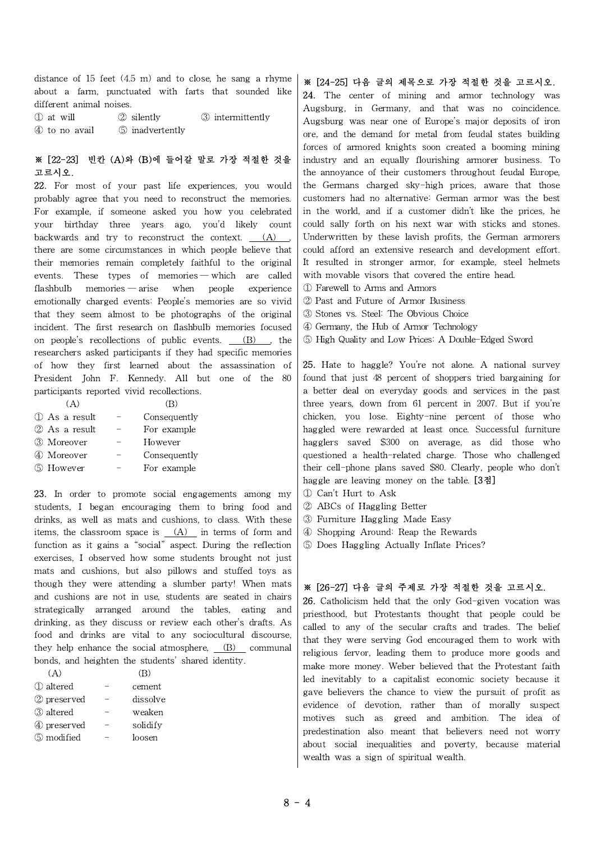distance of 15 feet (4.5 m) and to close, he sang a rhyme about a farm, punctuated with farts that sounded like different animal noises.

① at will ② silently ③ intermittently

④ to no avail ⑤ inadvertently

# ※ [22-23] 빈칸 (A)와 (B)에 들어갈 말로 가장 적절한 것을 고르시오.

22. For most of your past life experiences, you would probably agree that you need to reconstruct the memories. For example, if someone asked you how you celebrated your birthday three years ago, you'd likely count backwards and try to reconstruct the context. (A) there are some circumstances in which people believe that their memories remain completely faithful to the original events. These types of memories — which are called flashbulb memories — arise when people experience emotionally charged events: People's memories are so vivid that they seem almost to be photographs of the original incident. The first research on flashbulb memories focused on people's recollections of public events. (B) , the researchers asked participants if they had specific memories of how they first learned about the assassination of President John F. Kennedy. All but one of the 80 participants reported vivid recollections.

| (A)           |              |  |
|---------------|--------------|--|
| ① As a result | Consequently |  |
| ② As a result | For example  |  |
| 3 Moreover    | However      |  |
| 4) Moreover   | Consequently |  |
| 5 However     | For example  |  |

23. In order to promote social engagements among my students, I began encouraging them to bring food and drinks, as well as mats and cushions, to class. With these items, the classroom space is  $(A)$  in terms of form and function as it gains a "social" aspect. During the reflection exercises, I observed how some students brought not just mats and cushions, but also pillows and stuffed toys as though they were attending a slumber party! When mats and cushions are not in use, students are seated in chairs strategically arranged around the tables, eating and drinking, as they discuss or review each other's drafts. As food and drinks are vital to any sociocultural discourse, they help enhance the social atmosphere, (B) communal bonds, and heighten the students' shared identity.

| (A)          |   | (B)      |  |
|--------------|---|----------|--|
| ① altered    |   | cement   |  |
| ② preserved  |   | dissolve |  |
| ③ altered    |   | weaken   |  |
| 4) preserved | - | solidify |  |
| (5) modified |   | loosen   |  |
|              |   |          |  |

## ※ [24-25] 다음 글의 제목으로 가장 적절한 것을 고르시오.

24. The center of mining and armor technology was Augsburg, in Germany, and that was no coincidence. Augsburg was near one of Europe's major deposits of iron ore, and the demand for metal from feudal states building forces of armored knights soon created a booming mining industry and an equally flourishing armorer business. To the annoyance of their customers throughout feudal Europe, the Germans charged sky-high prices, aware that those customers had no alternative: German armor was the best in the world, and if a customer didn't like the prices, he could sally forth on his next war with sticks and stones. Underwritten by these lavish profits, the German armorers could afford an extensive research and development effort. It resulted in stronger armor, for example, steel helmets with movable visors that covered the entire head.

- ① Farewell to Arms and Armors
- ② Past and Future of Armor Business
- ③ Stones vs. Steel: The Obvious Choice
- ④ Germany, the Hub of Armor Technology
- ⑤ High Quality and Low Prices: A Double-Edged Sword

25. Hate to haggle? You're not alone. A national survey found that just 48 percent of shoppers tried bargaining for a better deal on everyday goods and services in the past three years, down from 61 percent in 2007. But if you're chicken, you lose. Eighty-nine percent of those who haggled were rewarded at least once. Successful furniture hagglers saved \$300 on average, as did those who questioned a health-related charge. Those who challenged their cell-phone plans saved \$80. Clearly, people who don't haggle are leaving money on the table. [3점]

- ① Can't Hurt to Ask
- ② ABCs of Haggling Better
- ③ Furniture Haggling Made Easy
- ④ Shopping Around: Reap the Rewards
- ⑤ Does Haggling Actually Inflate Prices?

#### ※ [26-27] 다음 글의 주제로 가장 적절한 것을 고르시오.

26. Catholicism held that the only God-given vocation was priesthood, but Protestants thought that people could be called to any of the secular crafts and trades. The belief that they were serving God encouraged them to work with religious fervor, leading them to produce more goods and make more money. Weber believed that the Protestant faith led inevitably to a capitalist economic society because it gave believers the chance to view the pursuit of profit as evidence of devotion, rather than of morally suspect motives such as greed and ambition. The idea of predestination also meant that believers need not worry about social inequalities and poverty, because material wealth was a sign of spiritual wealth.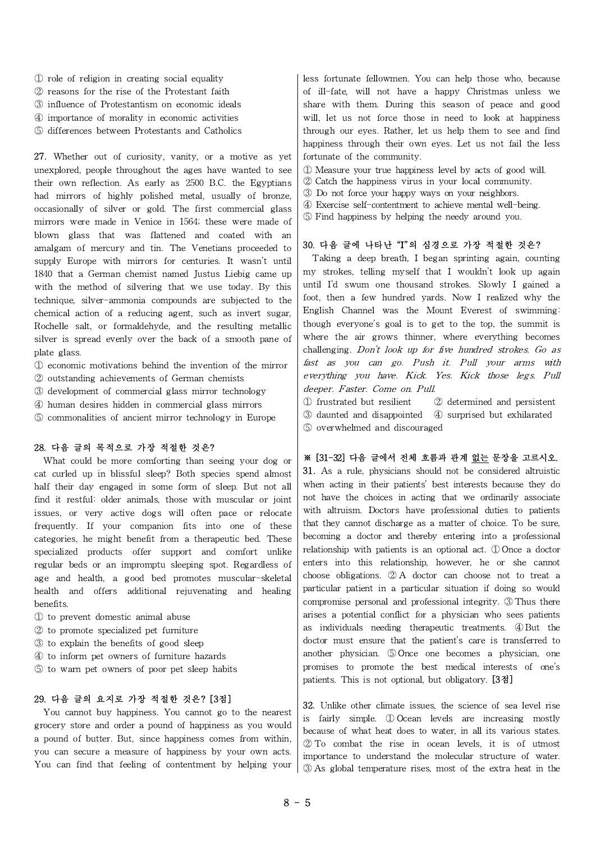- ① role of religion in creating social equality
- ② reasons for the rise of the Protestant faith
- ③ influence of Protestantism on economic ideals
- ④ importance of morality in economic activities
- ⑤ differences between Protestants and Catholics

27. Whether out of curiosity, vanity, or a motive as yet unexplored, people throughout the ages have wanted to see their own reflection. As early as 2500 B.C. the Egyptians had mirrors of highly polished metal, usually of bronze, occasionally of silver or gold. The first commercial glass mirrors were made in Venice in 1564; these were made of blown glass that was flattened and coated with an amalgam of mercury and tin. The Venetians proceeded to supply Europe with mirrors for centuries. It wasn't until 1840 that a German chemist named Justus Liebig came up with the method of silvering that we use today. By this technique, silver-ammonia compounds are subjected to the chemical action of a reducing agent, such as invert sugar, Rochelle salt, or formaldehyde, and the resulting metallic silver is spread evenly over the back of a smooth pane of plate glass.

- 
- ② outstanding achievements of German chemists
- ③ development of commercial glass mirror technology
- ④ human desires hidden in commercial glass mirrors
- ⑤ commonalities of ancient mirror technology in Europe

## 28. 다음 글의 목적으로 가장 적절한 것은?

What could be more comforting than seeing your dog or cat curled up in blissful sleep? Both species spend almost half their day engaged in some form of sleep. But not all find it restful: older animals, those with muscular or joint issues, or very active dogs will often pace or relocate frequently. If your companion fits into one of these categories, he might benefit from a therapeutic bed. These specialized products offer support and comfort unlike regular beds or an impromptu sleeping spot. Regardless of age and health, a good bed promotes muscular-skeletal health and offers additional rejuvenating and healing benefits.

- ① to prevent domestic animal abuse
- ② to promote specialized pet furniture
- ③ to explain the benefits of good sleep
- ④ to inform pet owners of furniture hazards
- ⑤ to warn pet owners of poor pet sleep habits

#### 29. 다음 글의 요지로 가장 적절한 것은? [3점]

You cannot buy happiness. You cannot go to the nearest grocery store and order a pound of happiness as you would a pound of butter. But, since happiness comes from within, you can secure a measure of happiness by your own acts. You can find that feeling of contentment by helping your less fortunate fellowmen. You can help those who, because of ill-fate, will not have a happy Christmas unless we share with them. During this season of peace and good will, let us not force those in need to look at happiness through our eyes. Rather, let us help them to see and find happiness through their own eyes. Let us not fail the less fortunate of the community.

- ① Measure your true happiness level by acts of good will.
- ② Catch the happiness virus in your local community.
- ③ Do not force your happy ways on your neighbors.
- ④ Exercise self-contentment to achieve mental well-being.
- ⑤ Find happiness by helping the needy around you.

#### 30. 다음 글에 나타난 "I"의 심경으로 가장 적절한 것은?

 $\Omega$  economic motivations behind the invention of the mirror  $\left| \right|$  fast as you can go. Push it. Pull your arms with Taking a deep breath, I began sprinting again, counting my strokes, telling myself that I wouldn't look up again until I'd swum one thousand strokes. Slowly I gained a foot, then a few hundred yards. Now I realized why the English Channel was the Mount Everest of swimming: though everyone's goal is to get to the top, the summit is where the air grows thinner, where everything becomes challenging. Don't look up for five hundred strokes. Go as English Channel was the Mount Everest of swimming:<br>though everyone's goal is to get to the top, the summit is<br>where the air grows thinner, where everything becomes<br>challenging. *Don't look up for five hundred strokes. Go a* though everyone's goal is to get to the top, the summit is<br>where the air grows thinner, where everything becomes<br>challenging. *Don't look up for five hundred strokes. Go as*<br>fast as you can go. Push it. Pull your arms with where the air grows thinner, where every challenging. *Don't look up for five hundred* fast as you can go. Push it. Pull you everything you have. Kick. Yes. Kick the deeper. Faster. Come on. Pull.  $\bigoplus$  funstrated but re

- ① frustrated but resilient ② determined and persistent
- ③ daunted and disappointed ④ surprised but exhilarated
- ⑤ overwhelmed and discouraged

#### ※ [31-32] 다음 글에서 전체 흐름과 관계 없는 문장을 고르시오.

31. As a rule, physicians should not be considered altruistic when acting in their patients' best interests because they do not have the choices in acting that we ordinarily associate with altruism. Doctors have professional duties to patients that they cannot discharge as a matter of choice. To be sure, becoming a doctor and thereby entering into a professional relationship with patients is an optional act. ① Once a doctor enters into this relationship, however, he or she cannot choose obligations. ② A doctor can choose not to treat a particular patient in a particular situation if doing so would compromise personal and professional integrity. ③ Thus there arises a potential conflict for a physician who sees patients as individuals needing therapeutic treatments. ④ But the doctor must ensure that the patient's care is transferred to another physician. ⑤ Once one becomes a physician, one promises to promote the best medical interests of one's patients. This is not optional, but obligatory. [3점]

32. Unlike other climate issues, the science of sea level rise is fairly simple. ① Ocean levels are increasing mostly because of what heat does to water, in all its various states. ② To combat the rise in ocean levels, it is of utmost importance to understand the molecular structure of water. ③ As global temperature rises, most of the extra heat in the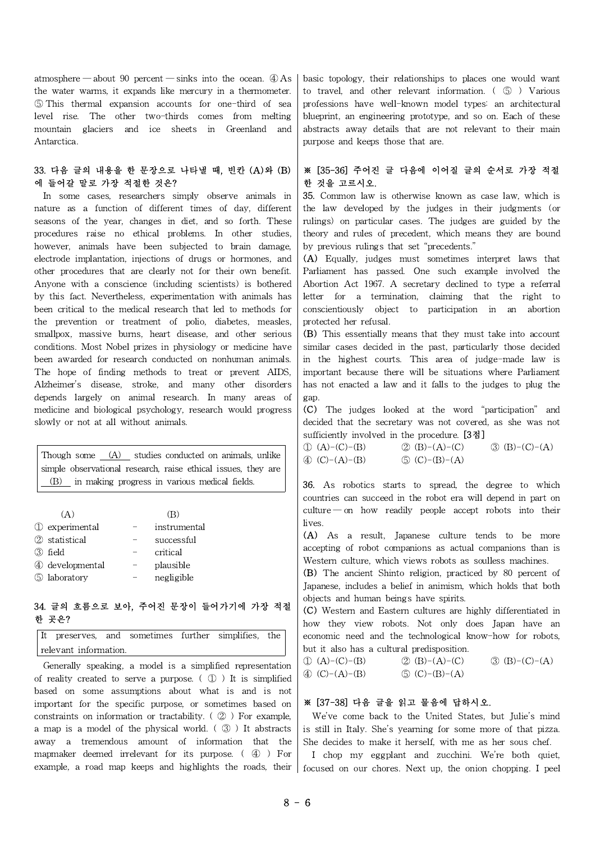atmosphere — about 90 percent — sinks into the ocean.  $\Phi$  As the water warms, it expands like mercury in a thermometer. ⑤ This thermal expansion accounts for one-third of sea level rise. The other two-thirds comes from melting mountain glaciers and ice sheets in Greenland and Antarctica.

## 33. 다음 글의 내용을 한 문장으로 나타낼 때, 빈칸 (A)와 (B) 에 들어갈 말로 가장 적절한 것은?

In some cases, researchers simply observe animals in nature as a function of different times of day, different seasons of the year, changes in diet, and so forth. These procedures raise no ethical problems. In other studies, however, animals have been subjected to brain damage, electrode implantation, injections of drugs or hormones, and other procedures that are clearly not for their own benefit. Anyone with a conscience (including scientists) is bothered by this fact. Nevertheless, experimentation with animals has been critical to the medical research that led to methods for the prevention or treatment of polio, diabetes, measles, smallpox, massive burns, heart disease, and other serious conditions. Most Nobel prizes in physiology or medicine have been awarded for research conducted on nonhuman animals. The hope of finding methods to treat or prevent AIDS, Alzheimer's disease, stroke, and many other disorders depends largely on animal research. In many areas of medicine and biological psychology, research would progress slowly or not at all without animals.

Though some  $(A)$  studies conducted on animals, unlike  $\left| \begin{array}{c} \downarrow \\ \text{(A) (C) - (A) - (B)} \end{array} \right|$ simple observational research, raise ethical issues, they are (B) in making progress in various medical fields.

| (A)             | (R)          |
|-----------------|--------------|
| 1 experimental  | instrumental |
| ② statistical   | successful   |
| ③ field         | critical     |
| 4 developmental | plausible    |
| 5 laboratory    | negligible   |
|                 |              |

#### 34. 글의 흐름으로 보아, 주어진 문장이 들어가기에 가장 적절 한 곳은?

It preserves, and sometimes further simplifies, the relevant information.

Generally speaking, a model is a simplified representation  $\left(\begin{array}{c}\n\mathbb{D} (A)-(C)-(B) \\
\oplus (C)-(A)-(B)\n\end{array}\right)$ of reality created to serve a purpose. ( ① ) It is simplified based on some assumptions about what is and is not important for the specific purpose, or sometimes based on constraints on information or tractability. ( ② ) For example, a map is a model of the physical world. ( ③ ) It abstracts away a tremendous amount of information that the mapmaker deemed irrelevant for its purpose. ( ④ ) For example, a road map keeps and highlights the roads, their

basic topology, their relationships to places one would want to travel, and other relevant information. ( ⑤ ) Various professions have well-known model types: an architectural blueprint, an engineering prototype, and so on. Each of these abstracts away details that are not relevant to their main purpose and keeps those that are.

## ※ [35-36] 주어진 글 다음에 이어질 글의 순서로 가장 적절 한 것을 고르시오.

35. Common law is otherwise known as case law, which is the law developed by the judges in their judgments (or rulings) on particular cases. The judges are guided by the theory and rules of precedent, which means they are bound by previous rulings that set "precedents."

(A) Equally, judges must sometimes interpret laws that Parliament has passed. One such example involved the Abortion Act 1967. A secretary declined to type a referral letter for a termination, claiming that the right to conscientiously object to participation in an abortion protected her refusal.

(B) This essentially means that they must take into account similar cases decided in the past, particularly those decided in the highest courts. This area of judge-made law is important because there will be situations where Parliament has not enacted a law and it falls to the judges to plug the gap.

(C) The judges looked at the word "participation" and decided that the secretary was not covered, as she was not sufficiently involved in the procedure. [3점]

 $\textcircled{1}$  (A)-(C)-(B)  $\textcircled{2}$  (B)-(A)-(C)  $\textcircled{3}$  (B)-(C)-(A)  $\textcircled{5}$  (C)-(B)-(A)

36. As robotics starts to spread, the degree to which countries can succeed in the robot era will depend in part on  $culture \text{—}$  on how readily people accept robots into their lives.

(A) As a result, Japanese culture tends to be more accepting of robot companions as actual companions than is Western culture, which views robots as soulless machines.

(B) The ancient Shinto religion, practiced by 80 percent of Japanese, includes a belief in animism, which holds that both objects and human beings have spirits.

(C) Western and Eastern cultures are highly differentiated in how they view robots. Not only does Japan have an economic need and the technological know-how for robots, but it also has a cultural predisposition.

```
\textcircled{2} (B)-(A)-(C) \textcircled{3} (B)-(C)-(A)
\circledS (C)-(B)-(A)
```
# ※ [37-38] 다음 글을 읽고 물음에 답하시오.

We've come back to the United States, but Julie's mind is still in Italy. She's yearning for some more of that pizza. She decides to make it herself, with me as her sous chef.

I chop my eggplant and zucchini. We're both quiet, focused on our chores. Next up, the onion chopping. I peel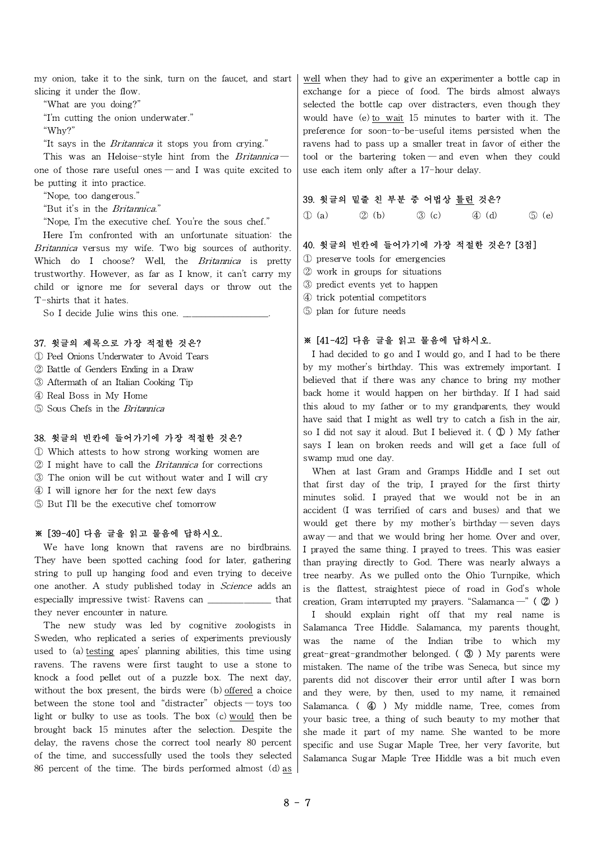my onion, take it to the sink, turn on the faucet, and start slicing it under the flow.

"What are you doing?"

"I'm cutting the onion underwater."

"Why?"

"It says in the *Britannica* it stops you from crying."

This was an Heloise-style hint from the Britannicaone of those rare useful ones — and I was quite excited to be putting it into practice.

"Nope, too dangerous."

"But it's in the Britannica."

"Nope, I'm the executive chef. You're the sous chef."

Here I'm confronted with an unfortunate situation: the Britannica versus my wife. Two big sources of authority. Which do I choose? Well, the *Britannica* is pretty trustworthy. However, as far as I know, it can't carry my child or ignore me for several days or throw out the T-shirts that it hates.

So I decide Julie wins this one.

#### 37. 윗글의 제목으로 가장 적절한 것은?

- ① Peel Onions Underwater to Avoid Tears
- ② Battle of Genders Ending in a Draw
- ③ Aftermath of an Italian Cooking Tip
- ④ Real Boss in My Home
- ⑤ Sous Chefs in the Britannica

## 38. 윗글의 빈칸에 들어가기에 가장 적절한 것은?

- ① Which attests to how strong working women are
- ② I might have to call the Britannica for corrections
- ③ The onion willbe cut without water and I will cry
- ④ I will ignore her for the next few days
- ⑤ But I'll be the executive chef tomorrow

## ※ [39-40] 다음 글을 읽고 물음에 답하시오.

We have long known that ravens are no birdbrains. They have been spotted caching food for later, gathering string to pull up hanging food and even trying to deceive one another. A study published today in Science adds an especially impressive twist: Ravens can \_\_\_\_\_\_\_\_\_\_\_\_\_\_ that they never encounter in nature.

The new study was led by cognitive zoologists in Sweden, who replicated a series of experiments previously used to (a) testing apes' planning abilities, this time using ravens. The ravens were first taught to use a stone to knock a food pellet out of a puzzle box. The next day, without the box present, the birds were (b) offered a choice between the stone tool and "distracter" objects ― toys too light or bulky to use as tools. The box (c) would then be brought back 15 minutes after the selection. Despite the delay, the ravens chose the correct tool nearly 80 percent of the time, and successfully used the tools they selected 86 percent of the time. The birds performed almost (d) as well when they had to give an experimenter a bottle cap in exchange for a piece of food. The birds almost always selected the bottle cap over distracters, even though they would have (e) to wait 15 minutes to barter with it. The preference for soon-to-be-useful items persisted when the ravens had to pass up a smaller treat in favor of either the tool or the bartering token ― and even when they could use each item only after a 17-hour delay.

#### 39. 윗글의 밑줄 친 부분 중 어법상 틀린 것은?

① (a) ② (b) ③ (c) ④ (d) ⑤ (e)

## 40. 윗글의 빈칸에 들어가기에 가장 적절한 것은? [3점]

- ① preserve tools for emergencies
- ② work in groups for situations
- ③ predict events yet to happen
- ④ trick potential competitors
- ⑤ plan for future needs

## ※ [41-42] 다음 글을 읽고 물음에 답하시오.

I had decided to go and I would go, and I had to be there by my mother's birthday. This was extremely important. I believed that if there was any chance to bring my mother back home it would happen on her birthday. If I had said this aloud to my father or to my grandparents, they would have said that I might as well try to catch a fish in the air, so I did not say it aloud. But I believed it.  $(Q)$ ) My father says I lean on broken reeds and will get a face full of swamp mud one day.

When at last Gram and Gramps Hiddle and I set out that first day of the trip, I prayed for the first thirty minutes solid. I prayed that we would not be in an accident (I was terrified of cars and buses) and that we would get there by my mother's birthday ― seven days  $a$ way — and that we would bring her home. Over and over, I prayed the same thing. I prayed to trees. This was easier than praying directly to God. There was nearly always a tree nearby. As we pulled onto the Ohio Turnpike, which is the flattest, straightest piece of road in God's whole creation, Gram interrupted my prayers. "Salamanca —" ( 2 )

I should explain right off that my real name is Salamanca Tree Hiddle. Salamanca, my parents thought, was the name of the Indian tribe to which my great-great-grandmother belonged.  $(\circled{3})$  My parents were mistaken. The name of the tribe was Seneca, but since my parents did not discover their error until after I was born and they were, by then, used to my name, it remained Salamanca. (  $\textcircled{4}$  ) My middle name, Tree, comes from your basic tree, a thing of such beauty to my mother that she made it part of my name. She wanted to be more specific and use Sugar Maple Tree, her very favorite, but Salamanca Sugar Maple Tree Hiddle was a bit much even